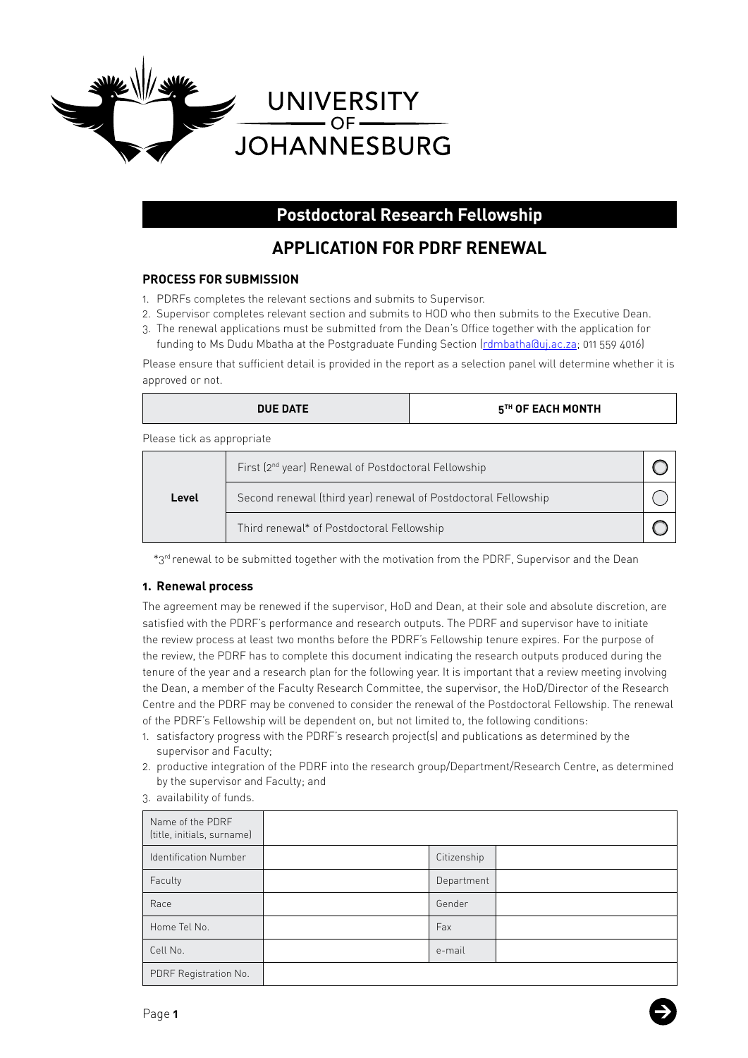

# **Postdoctoral Research Fellowship**

# **APPLICATION FOR PDRF RENEWAL**

## **PROCESS FOR SUBMISSION**

- 1. PDRFs completes the relevant sections and submits to Supervisor.
- 2. Supervisor completes relevant section and submits to HOD who then submits to the Executive Dean.
- 3. The renewal applications must be submitted from the Dean's Office together with the application for funding to Ms Dudu Mbatha at the Postgraduate Funding Section ([rdmbatha@uj.ac.za](mailto:rdmbatha@uj.ac.za); 011 559 4016)

Please ensure that sufficient detail is provided in the report as a selection panel will determine whether it is approved or not.

| <b>DUE DATE</b>            |                                                                 | $5TH$ OF EACH MONTH |  |
|----------------------------|-----------------------------------------------------------------|---------------------|--|
| Please tick as appropriate |                                                                 |                     |  |
|                            | First (2 <sup>nd</sup> year) Renewal of Postdoctoral Fellowship |                     |  |
| Level                      | Second renewal (third year) renewal of Postdoctoral Fellowship  |                     |  |

 $\bigcirc$ 

\*3rd renewal to be submitted together with the motivation from the PDRF, Supervisor and the Dean

Third renewal\* of Postdoctoral Fellowship

## **1. Renewal process**

The agreement may be renewed if the supervisor, HoD and Dean, at their sole and absolute discretion, are satisfied with the PDRF's performance and research outputs. The PDRF and supervisor have to initiate the review process at least two months before the PDRF's Fellowship tenure expires. For the purpose of the review, the PDRF has to complete this document indicating the research outputs produced during the tenure of the year and a research plan for the following year. It is important that a review meeting involving the Dean, a member of the Faculty Research Committee, the supervisor, the HoD/Director of the Research Centre and the PDRF may be convened to consider the renewal of the Postdoctoral Fellowship. The renewal of the PDRF's Fellowship will be dependent on, but not limited to, the following conditions:

- 1. satisfactory progress with the PDRF's research project(s) and publications as determined by the supervisor and Faculty;
- 2. productive integration of the PDRF into the research group/Department/Research Centre, as determined by the supervisor and Faculty; and

| Name of the PDRF<br>(title, initials, surname) |             |  |
|------------------------------------------------|-------------|--|
| <b>Identification Number</b>                   | Citizenship |  |
| Faculty                                        | Department  |  |
| Race                                           | Gender      |  |
| Home Tel No.                                   | Fax         |  |
| Cell No.                                       | e-mail      |  |
| PDRF Registration No.                          |             |  |

3. availability of funds.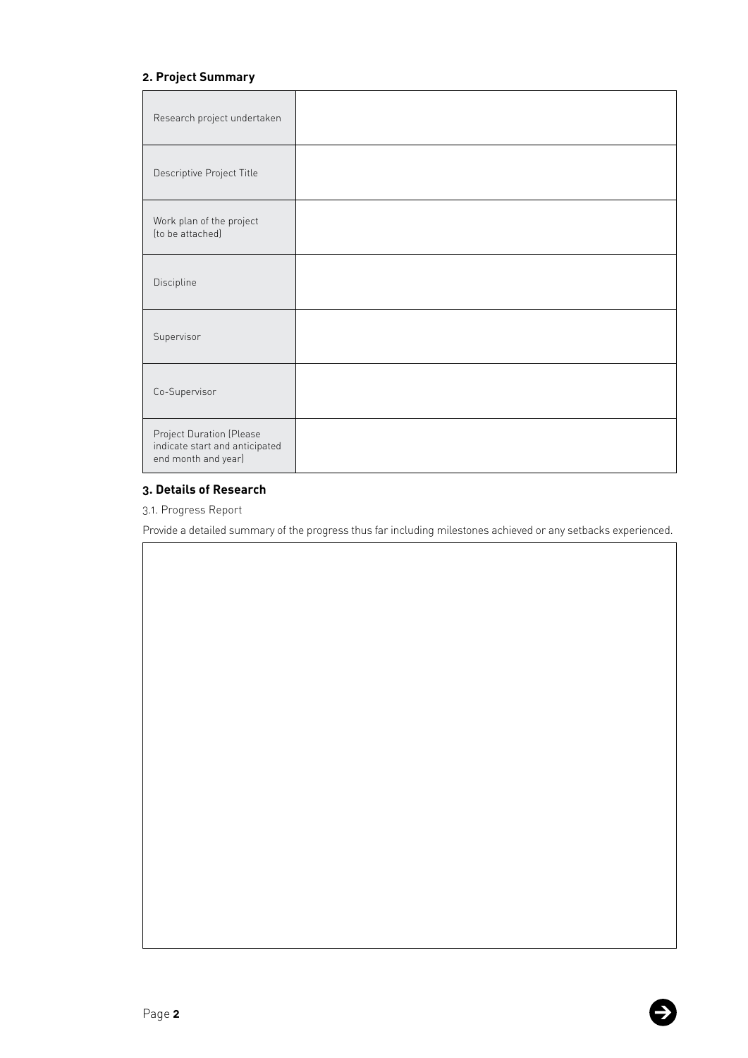# **2. Project Summary**

| Research project undertaken                                                       |  |
|-----------------------------------------------------------------------------------|--|
| Descriptive Project Title                                                         |  |
| Work plan of the project<br>(to be attached)                                      |  |
| Discipline                                                                        |  |
| Supervisor                                                                        |  |
| Co-Supervisor                                                                     |  |
| Project Duration (Please<br>indicate start and anticipated<br>end month and year) |  |

# **3. Details of Research**

3.1. Progress Report

Provide a detailed summary of the progress thus far including milestones achieved or any setbacks experienced.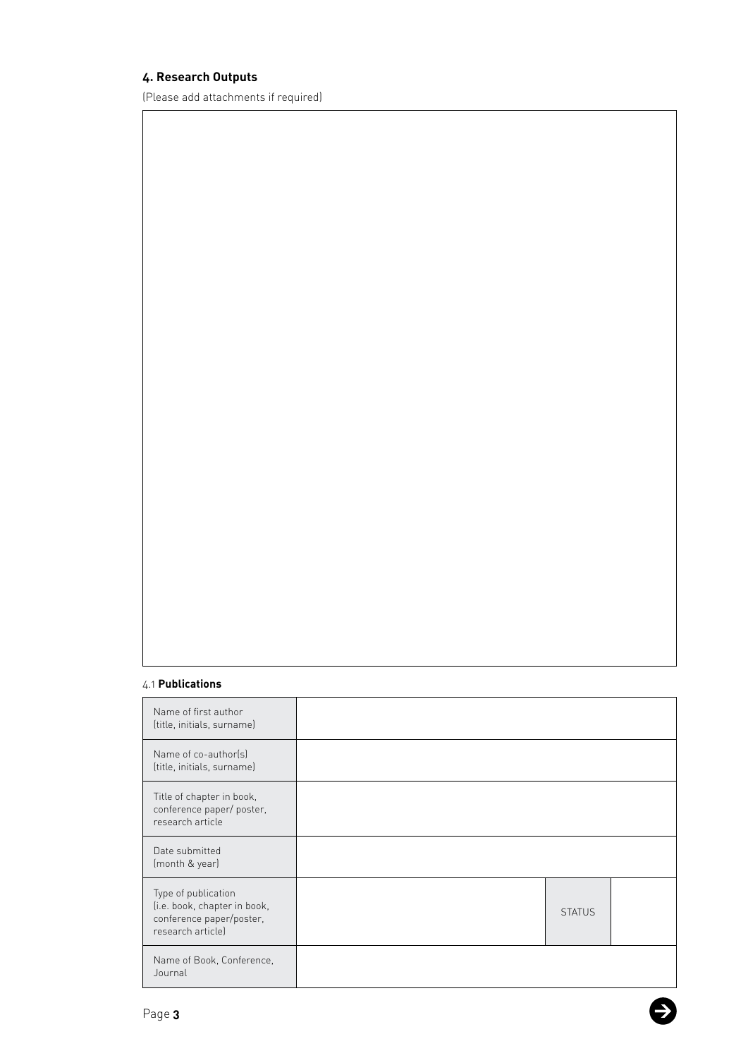# **4. Research Outputs**

(Please add attachments if required)

## 4.1 **Publications**

| Name of first author<br>(title, initials, surname)                                                   |               |  |
|------------------------------------------------------------------------------------------------------|---------------|--|
| Name of co-author(s)<br>(title, initials, surname)                                                   |               |  |
| Title of chapter in book,<br>conference paper/ poster,<br>research article                           |               |  |
| Date submitted<br>(month & year)                                                                     |               |  |
| Type of publication<br>(i.e. book, chapter in book,<br>conference paper/poster,<br>research article) | <b>STATUS</b> |  |
| Name of Book, Conference,<br>Journal                                                                 |               |  |

E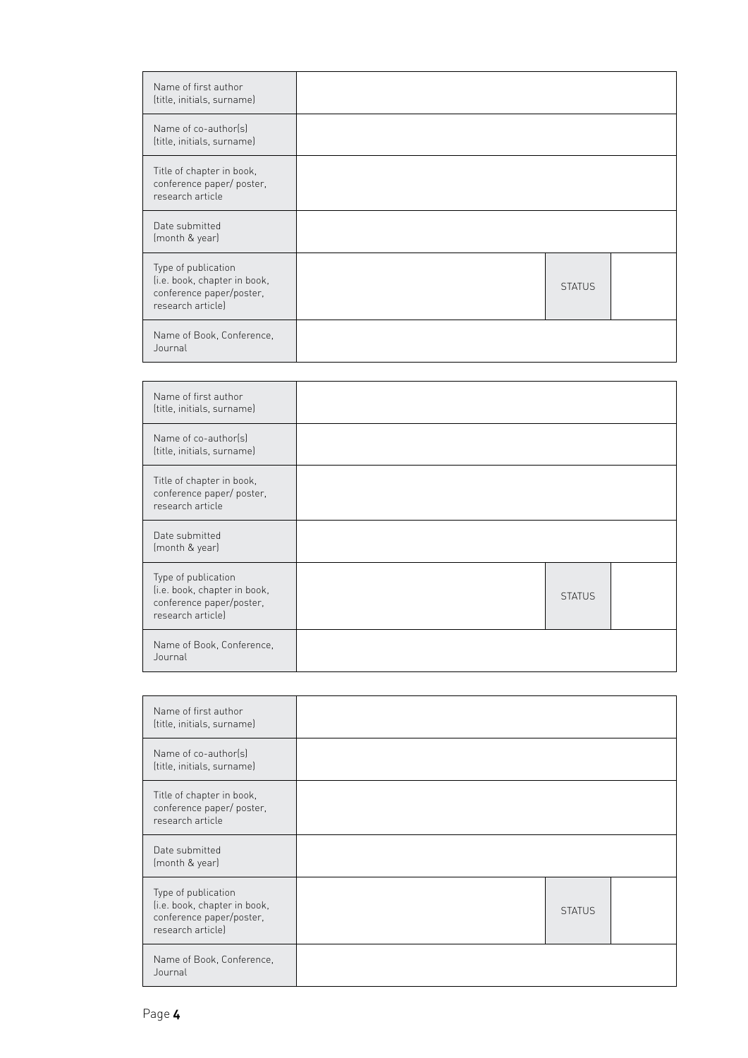| Name of first author<br>(title, initials, surname)                                                   |               |  |
|------------------------------------------------------------------------------------------------------|---------------|--|
| Name of co-author(s)<br>(title, initials, surname)                                                   |               |  |
| Title of chapter in book,<br>conference paper/ poster,<br>research article                           |               |  |
| Date submitted<br>(month & year)                                                                     |               |  |
| Type of publication<br>(i.e. book, chapter in book,<br>conference paper/poster,<br>research articlel | <b>STATUS</b> |  |
| Name of Book, Conference,<br>Journal                                                                 |               |  |

| Name of first author<br>(title, initials, surname)                                                   |               |  |
|------------------------------------------------------------------------------------------------------|---------------|--|
| Name of co-author(s)<br>(title, initials, surname)                                                   |               |  |
| Title of chapter in book,<br>conference paper/ poster,<br>research article                           |               |  |
| Date submitted<br>(month & year)                                                                     |               |  |
| Type of publication<br>(i.e. book, chapter in book,<br>conference paper/poster,<br>research articlel | <b>STATUS</b> |  |
| Name of Book, Conference,<br>Journal                                                                 |               |  |

| Name of first author<br>(title, initials, surname)                                                   |               |  |
|------------------------------------------------------------------------------------------------------|---------------|--|
| Name of co-author(s)<br>(title, initials, surname)                                                   |               |  |
| Title of chapter in book,<br>conference paper/ poster,<br>research article                           |               |  |
| Date submitted<br>(month & year)                                                                     |               |  |
| Type of publication<br>(i.e. book, chapter in book,<br>conference paper/poster,<br>research articlel | <b>STATUS</b> |  |
| Name of Book, Conference,<br>Journal                                                                 |               |  |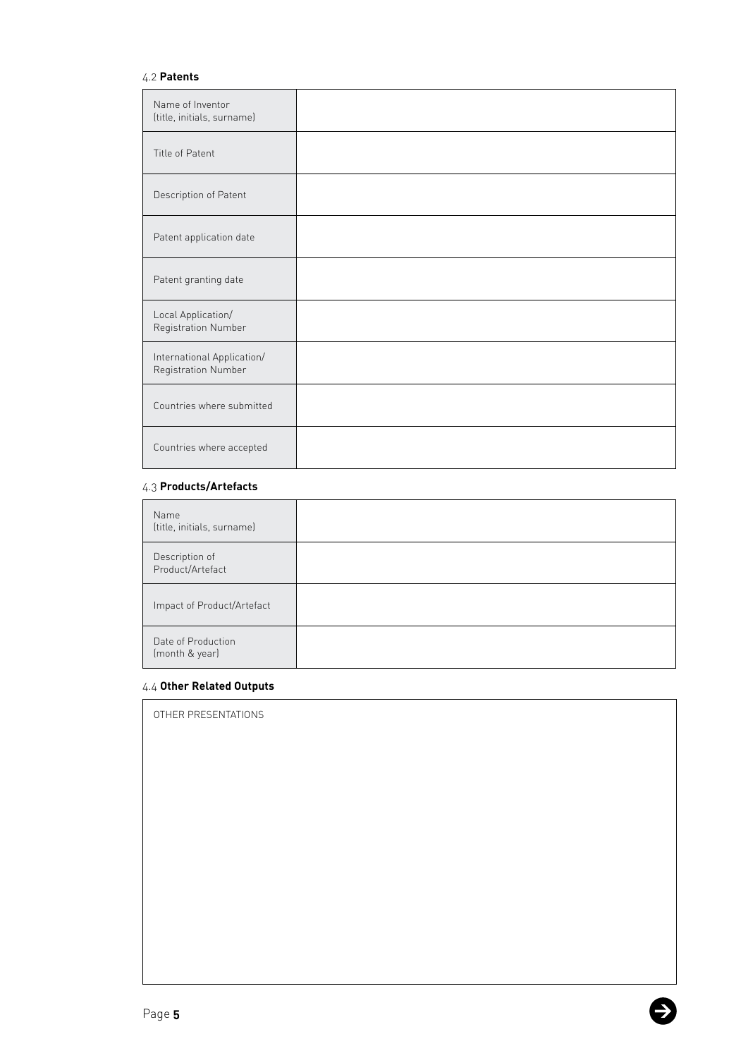## 4.2 **Patents**

| Name of Inventor<br>(title, initials, surname)    |  |
|---------------------------------------------------|--|
| Title of Patent                                   |  |
| Description of Patent                             |  |
| Patent application date                           |  |
| Patent granting date                              |  |
| Local Application/<br>Registration Number         |  |
| International Application/<br>Registration Number |  |
| Countries where submitted                         |  |
| Countries where accepted                          |  |

### 4.3 **Products/Artefacts**

| Name<br>(title, initials, surname)   |  |
|--------------------------------------|--|
| Description of<br>Product/Artefact   |  |
| Impact of Product/Artefact           |  |
| Date of Production<br>(month & year) |  |

5

### 4.4 **Other Related Outputs**

OTHER PRESENTATIONS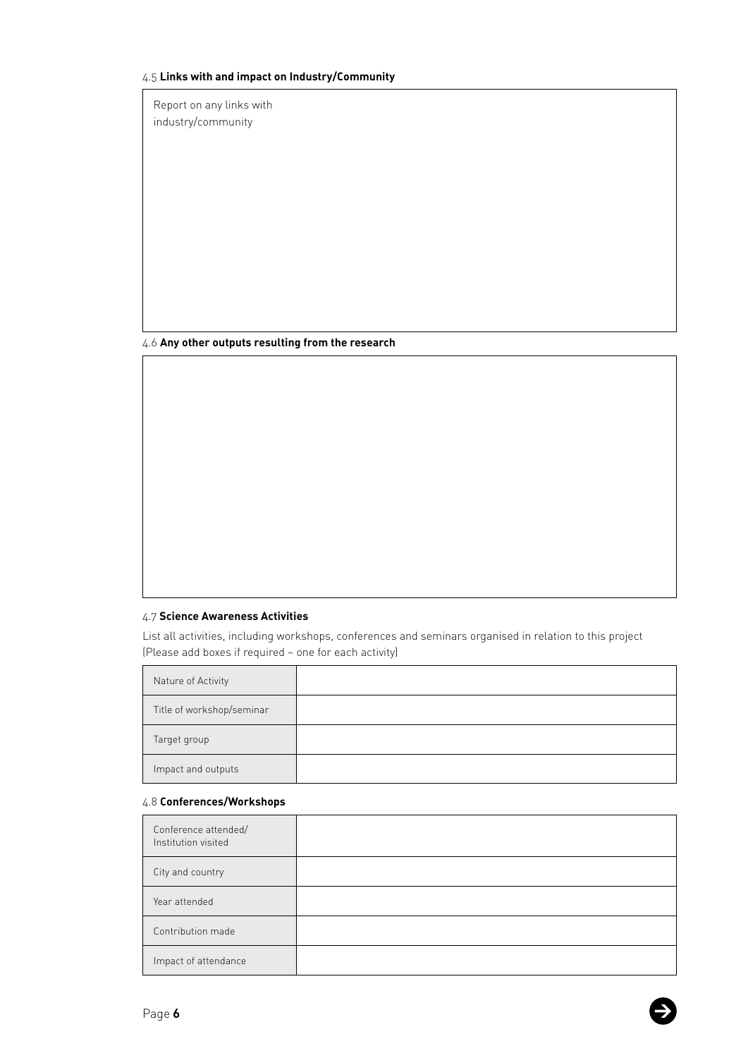### 4.5 **Links with and impact on Industry/Community**

Report on any links with industry/community

#### 4.6 **Any other outputs resulting from the research**

# 4.7 **Science Awareness Activities**

List all activities, including workshops, conferences and seminars organised in relation to this project (Please add boxes if required – one for each activity)

| Nature of Activity        |  |
|---------------------------|--|
| Title of workshop/seminar |  |
| Target group              |  |
| Impact and outputs        |  |

### 4.8 **Conferences/Workshops**

| Conference attended/<br>Institution visited |  |
|---------------------------------------------|--|
| City and country                            |  |
| Year attended                               |  |
| Contribution made                           |  |
| Impact of attendance                        |  |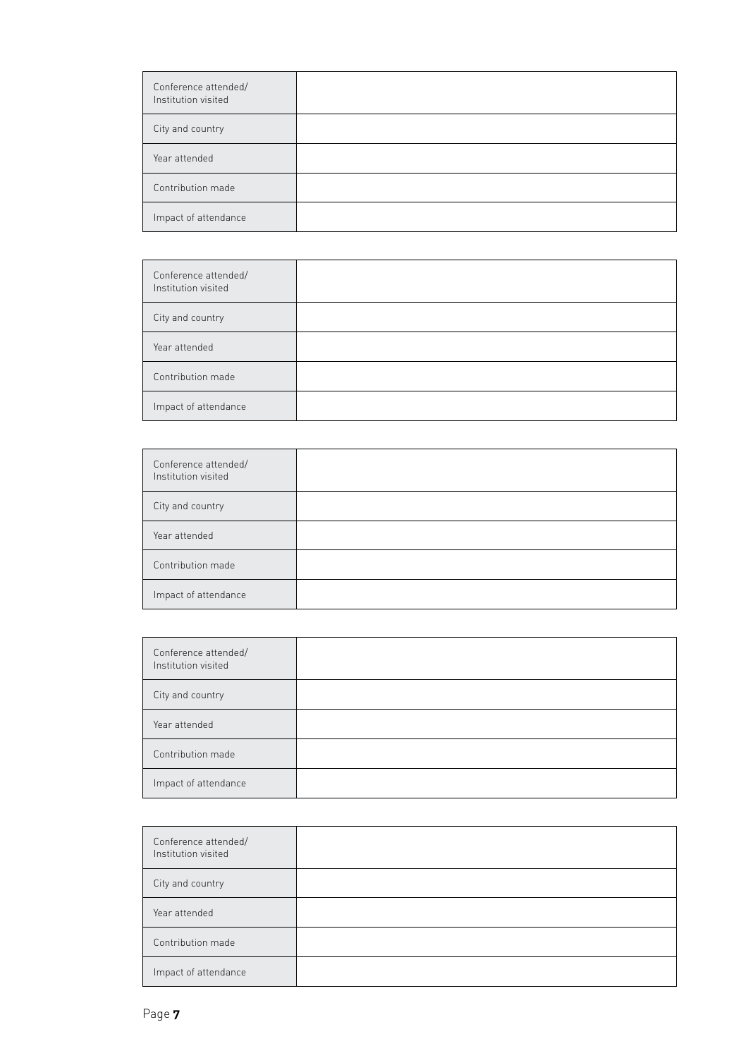| Conference attended/<br>Institution visited |  |
|---------------------------------------------|--|
| City and country                            |  |
| Year attended                               |  |
| Contribution made                           |  |
| Impact of attendance                        |  |

| Conference attended/<br>Institution visited |  |
|---------------------------------------------|--|
| City and country                            |  |
| Year attended                               |  |
| Contribution made                           |  |
| Impact of attendance                        |  |

| Conference attended/<br>Institution visited |  |
|---------------------------------------------|--|
| City and country                            |  |
| Year attended                               |  |
| Contribution made                           |  |
| Impact of attendance                        |  |

| Conference attended/<br>Institution visited |  |
|---------------------------------------------|--|
| City and country                            |  |
| Year attended                               |  |
| Contribution made                           |  |
| Impact of attendance                        |  |

| Conference attended/<br>Institution visited |  |
|---------------------------------------------|--|
| City and country                            |  |
| Year attended                               |  |
| Contribution made                           |  |
| Impact of attendance                        |  |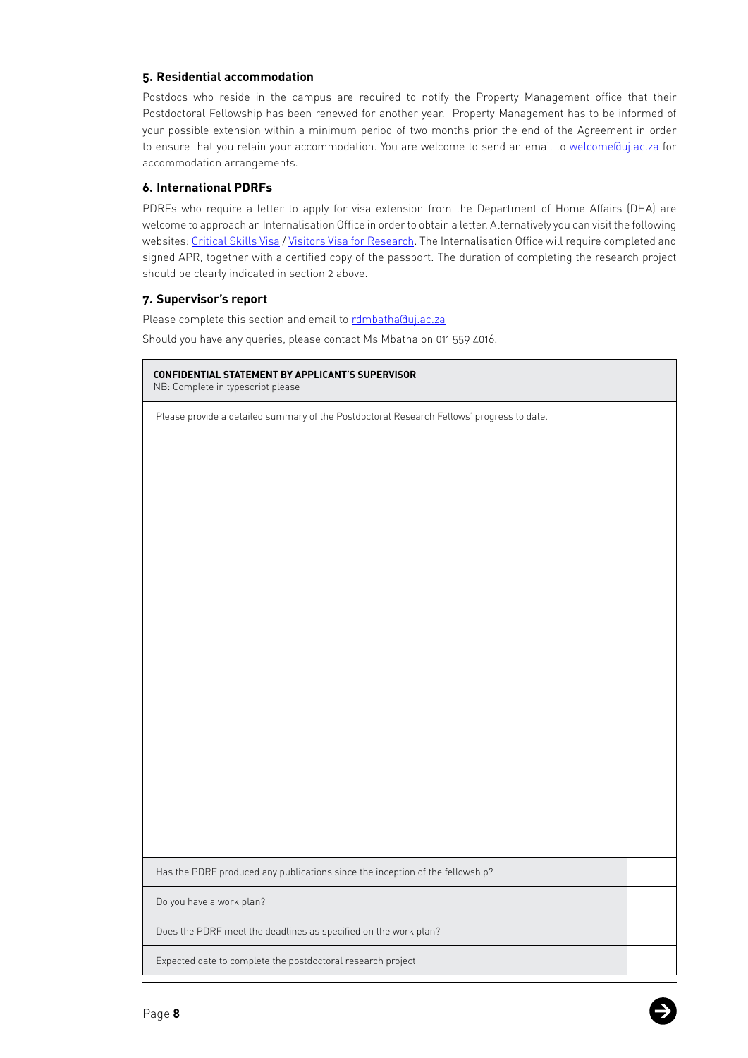## **5. Residential accommodation**

Postdocs who reside in the campus are required to notify the Property Management office that their Postdoctoral Fellowship has been renewed for another year. Property Management has to be informed of your possible extension within a minimum period of two months prior the end of the Agreement in order to ensure that you retain your accommodation. You are welcome to send an email to welcome@uj.ac.za for accommodation arrangements.

## **6. International PDRFs**

PDRFs who require a letter to apply for visa extension from the Department of Home Affairs (DHA) are welcome to approach an Internalisation Office in order to obtain a letter. Alternatively you can visit the following websites: [Critical Skills Visa](https://www.vfsglobal.com/dha/southafrica/critical-skills-visa.html) / [Visitors Visa for Research.](https://www.vfsglobal.com/dha/southafrica/visitor-visa-section-3.html) The Internalisation Office will require completed and signed APR, together with a certified copy of the passport. The duration of completing the research project should be clearly indicated in section 2 above.

### **7. Supervisor's report**

Please complete this section and email to [rdmbatha@uj.ac.za](mailto:rdmbatha@uj.ac.za) Should you have any queries, please contact Ms Mbatha on 011 559 4016.

**CONFIDENTIAL STATEMENT BY APPLICANT'S SUPERVISOR**  NB: Complete in typescript please

Please provide a detailed summary of the Postdoctoral Research Fellows' progress to date.

Has the PDRF produced any publications since the inception of the fellowship?

Do you have a work plan?

Does the PDRF meet the deadlines as specified on the work plan?

Expected date to complete the postdoctoral research project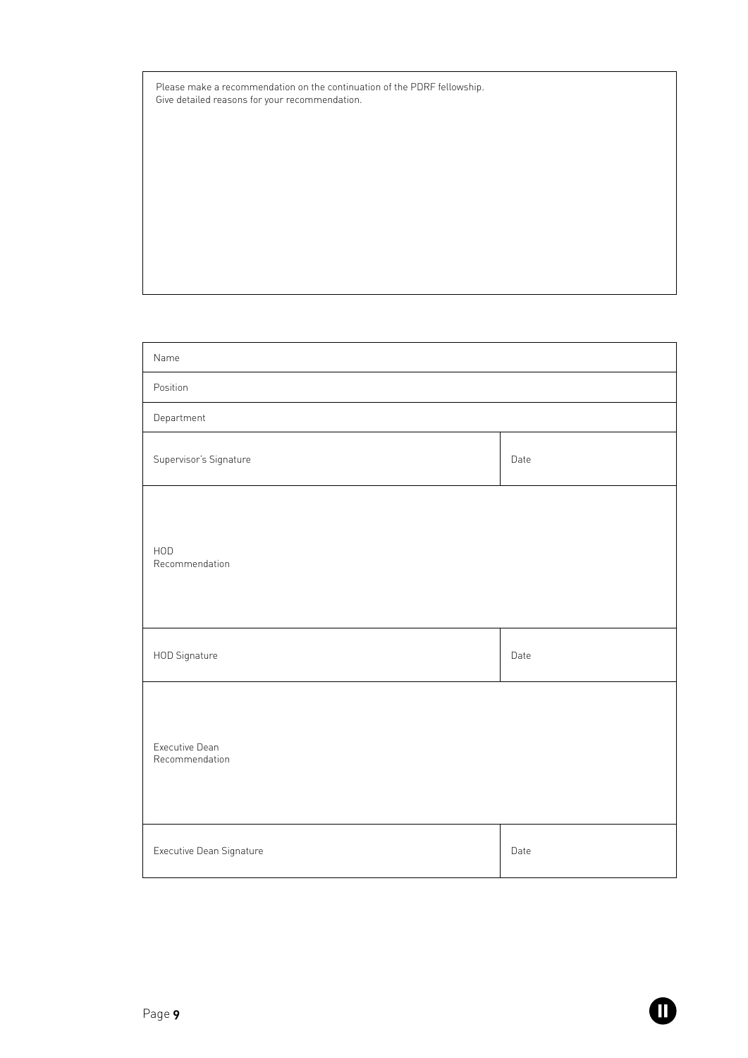| Please make a recommendation on the continuation of the PDRF fellowship. |
|--------------------------------------------------------------------------|
| Give detailed reasons for your recommendation.                           |

| Name                             |      |  |
|----------------------------------|------|--|
| Position                         |      |  |
| Department                       |      |  |
| Supervisor's Signature           | Date |  |
| HOD<br>Recommendation            |      |  |
| HOD Signature                    | Date |  |
| Executive Dean<br>Recommendation |      |  |
| Executive Dean Signature         | Date |  |

 $\bf \Phi$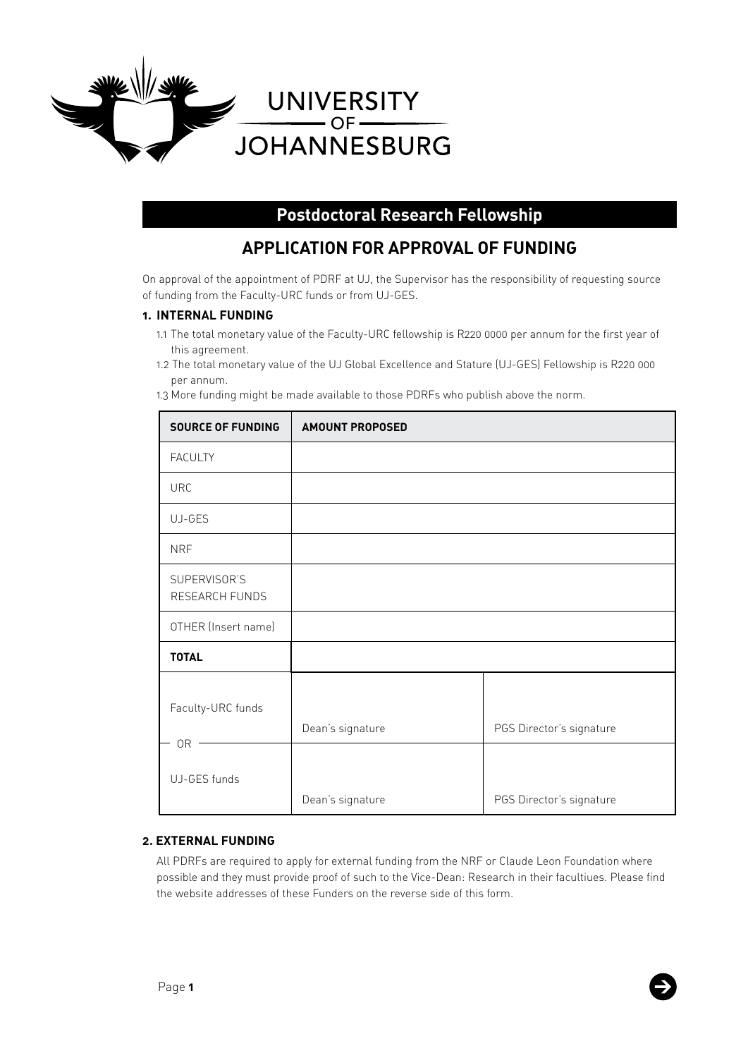

# **Postdoctoral Research Fellowship**

# **APPLICATION FOR APPROVAL OF FUNDING**

On approval of the appointment of PDRF at UJ, the Supervisor has the responsibility of requesting source of funding from the Faculty-URC funds or from UJ-GES.

## **1. INTERNAL FUNDING**

- 1.1 The total monetary value of the Faculty-URC fellowship is R220 0000 per annum for the first year of this agreement.
- 1.2 The total monetary value of the UJ Global Excellence and Stature (UJ-GES) Fellowship is R220 000 per annum.

1.3 More funding might be made available to those PDRFs who publish above the norm.

| <b>SOURCE OF FUNDING</b>       | <b>AMOUNT PROPOSED</b> |                          |
|--------------------------------|------------------------|--------------------------|
| <b>FACULTY</b>                 |                        |                          |
| <b>URC</b>                     |                        |                          |
| UJ-GES                         |                        |                          |
| <b>NRF</b>                     |                        |                          |
| SUPERVISOR'S<br>RESEARCH FUNDS |                        |                          |
| OTHER (Insert name)            |                        |                          |
| <b>TOTAL</b>                   |                        |                          |
| Faculty-URC funds              | Dean's signature       | PGS Director's signature |
| 0R<br>UJ-GES funds             | Dean's signature       | PGS Director's signature |

## **2. EXTERNAL FUNDING**

All PDRFs are required to apply for external funding from the NRF or Claude Leon Foundation where possible and they must provide proof of such to the Vice-Dean: Research in their facultiues. Please find the website addresses of these Funders on the reverse side of this form.